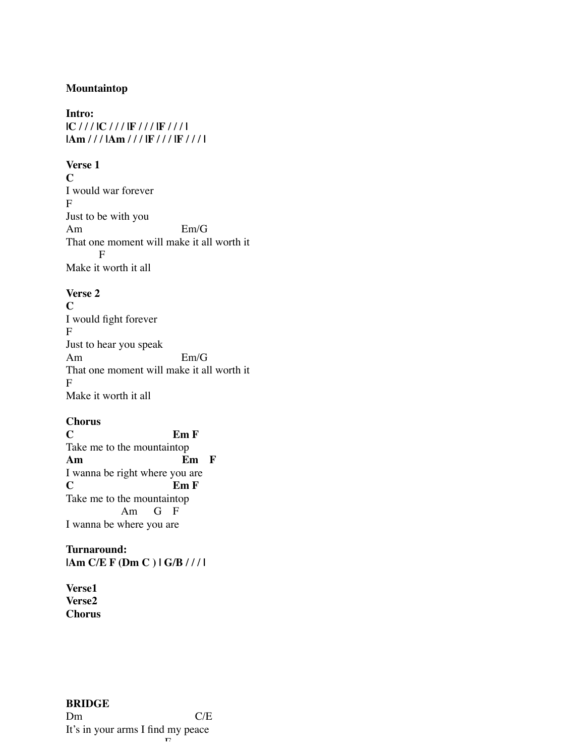#### **Mountaintop**

# **Intro: |C / / / |C / / / |F / / / |F / / / | |Am / / / |Am / / / |F / / / |F / / / |**

**Verse 1**

**C** I would war forever F Just to be with you Am Em/G That one moment will make it all worth it F Make it worth it all

## **Verse 2**

**C** I would fight forever F Just to hear you speak Am Em/G That one moment will make it all worth it F Make it worth it all

### **Chorus**

**C Em F** Take me to the mountaintop **Am Em F** I wanna be right where you are **C Em F** Take me to the mountaintop Am G F I wanna be where you are

**Turnaround: |Am C/E F (Dm C ) | G/B / / / |**

**Verse1 Verse2 Chorus**

#### **BRIDGE** Dm C/E It's in your arms I find my peace  $\boldsymbol{\Gamma}$